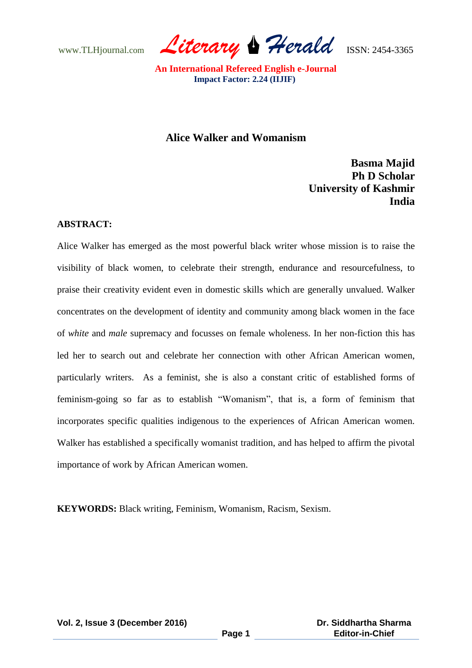www.TLHjournal.com *Literary Herald*ISSN: 2454-3365

# **Alice Walker and Womanism**

**Basma Majid Ph D Scholar University of Kashmir** *<u> India</u>* **India** 

#### **ABSTRACT:**

Alice Walker has emerged as the most powerful black writer whose mission is to raise the visibility of black women, to celebrate their strength, endurance and resourcefulness, to praise their creativity evident even in domestic skills which are generally unvalued. Walker concentrates on the development of identity and community among black women in the face of *white* and *male* supremacy and focusses on female wholeness. In her non-fiction this has led her to search out and celebrate her connection with other African American women, particularly writers. As a feminist, she is also a constant critic of established forms of feminism-going so far as to establish "Womanism", that is, a form of feminism that incorporates specific qualities indigenous to the experiences of African American women. Walker has established a specifically womanist tradition, and has helped to affirm the pivotal importance of work by African American women.

**KEYWORDS:** Black writing, Feminism, Womanism, Racism, Sexism.

**Vol. 2, Issue 3 (December 2016)**

**Page 1**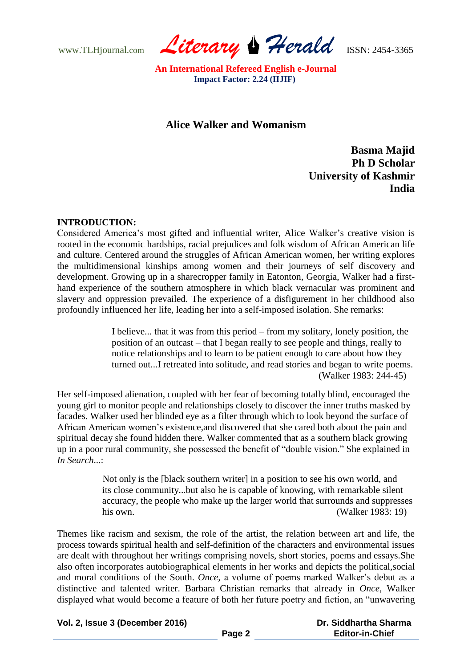www.TLHjournal.com *Literary Herald*ISSN: 2454-3365

# **Alice Walker and Womanism**

**Basma Majid Ph D Scholar University of Kashmir** *<u> India</u>* **India** 

### **INTRODUCTION:**

Considered America"s most gifted and influential writer, Alice Walker"s creative vision is rooted in the economic hardships, racial prejudices and folk wisdom of African American life and culture. Centered around the struggles of African American women, her writing explores the multidimensional kinships among women and their journeys of self discovery and development. Growing up in a sharecropper family in Eatonton, Georgia, Walker had a firsthand experience of the southern atmosphere in which black vernacular was prominent and slavery and oppression prevailed. The experience of a disfigurement in her childhood also profoundly influenced her life, leading her into a self-imposed isolation. She remarks:

> I believe... that it was from this period – from my solitary, lonely position, the position of an outcast – that I began really to see people and things, really to notice relationships and to learn to be patient enough to care about how they turned out...I retreated into solitude, and read stories and began to write poems. (Walker 1983: 244-45)

Her self-imposed alienation, coupled with her fear of becoming totally blind, encouraged the young girl to monitor people and relationships closely to discover the inner truths masked by facades. Walker used her blinded eye as a filter through which to look beyond the surface of African American women"s existence,and discovered that she cared both about the pain and spiritual decay she found hidden there. Walker commented that as a southern black growing up in a poor rural community, she possessed the benefit of "double vision." She explained in *In Search*...:

> Not only is the [black southern writer] in a position to see his own world, and its close community...but also he is capable of knowing, with remarkable silent accuracy, the people who make up the larger world that surrounds and suppresses his own. (Walker 1983: 19)

Themes like racism and sexism, the role of the artist, the relation between art and life, the process towards spiritual health and self-definition of the characters and environmental issues are dealt with throughout her writings comprising novels, short stories, poems and essays.She also often incorporates autobiographical elements in her works and depicts the political,social and moral conditions of the South. *Once*, a volume of poems marked Walker's debut as a distinctive and talented writer. Barbara Christian remarks that already in *Once*, Walker displayed what would become a feature of both her future poetry and fiction, an "unwavering

**Vol. 2, Issue 3 (December 2016)**

 **Dr. Siddhartha Sharma Editor-in-Chief**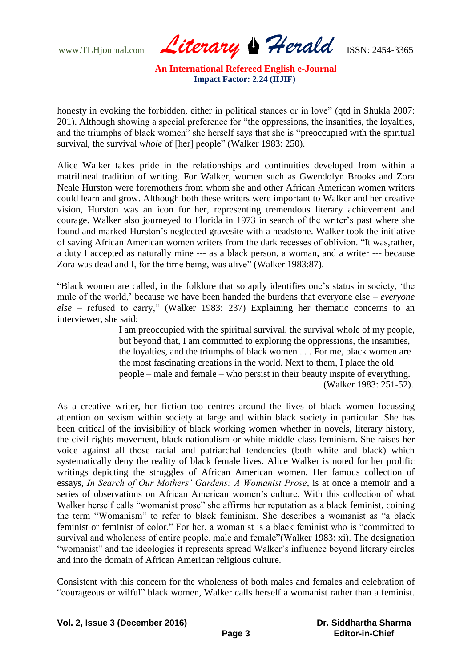www.TLHjournal.com *Literary Herald*ISSN: 2454-3365

honesty in evoking the forbidden, either in political stances or in love" (qtd in Shukla 2007: 201). Although showing a special preference for "the oppressions, the insanities, the loyalties, and the triumphs of black women" she herself says that she is "preoccupied with the spiritual survival, the survival *whole* of [her] people" (Walker 1983: 250).

Alice Walker takes pride in the relationships and continuities developed from within a matrilineal tradition of writing. For Walker, women such as Gwendolyn Brooks and Zora Neale Hurston were foremothers from whom she and other African American women writers could learn and grow. Although both these writers were important to Walker and her creative vision, Hurston was an icon for her, representing tremendous literary achievement and courage. Walker also journeyed to Florida in 1973 in search of the writer"s past where she found and marked Hurston"s neglected gravesite with a headstone. Walker took the initiative of saving African American women writers from the dark recesses of oblivion. "It was,rather, a duty I accepted as naturally mine --- as a black person, a woman, and a writer --- because Zora was dead and I, for the time being, was alive" (Walker 1983:87).

"Black women are called, in the folklore that so aptly identifies one"s status in society, "the mule of the world," because we have been handed the burdens that everyone else – *everyone else* – refused to carry," (Walker 1983: 237) Explaining her thematic concerns to an interviewer, she said:

> I am preoccupied with the spiritual survival, the survival whole of my people, but beyond that, I am committed to exploring the oppressions, the insanities, the loyalties, and the triumphs of black women . . . For me, black women are the most fascinating creations in the world. Next to them, I place the old people – male and female – who persist in their beauty inspite of everything. (Walker 1983: 251-52).

As a creative writer, her fiction too centres around the lives of black women focussing attention on sexism within society at large and within black society in particular. She has been critical of the invisibility of black working women whether in novels, literary history, the civil rights movement, black nationalism or white middle-class feminism. She raises her voice against all those racial and patriarchal tendencies (both white and black) which systematically deny the reality of black female lives. Alice Walker is noted for her prolific writings depicting the struggles of African American women. Her famous collection of essays, *In Search of Our Mothers' Gardens: A Womanist Prose*, is at once a memoir and a series of observations on African American women"s culture. With this collection of what Walker herself calls "womanist prose" she affirms her reputation as a black feminist, coining the term "Womanism" to refer to black feminism. She describes a womanist as "a black feminist or feminist of color." For her, a womanist is a black feminist who is "committed to survival and wholeness of entire people, male and female"(Walker 1983: xi). The designation "womanist" and the ideologies it represents spread Walker"s influence beyond literary circles and into the domain of African American religious culture.

Consistent with this concern for the wholeness of both males and females and celebration of "courageous or wilful" black women, Walker calls herself a womanist rather than a feminist.

| Vol. 2, Issue 3 (December 2016) |
|---------------------------------|
|---------------------------------|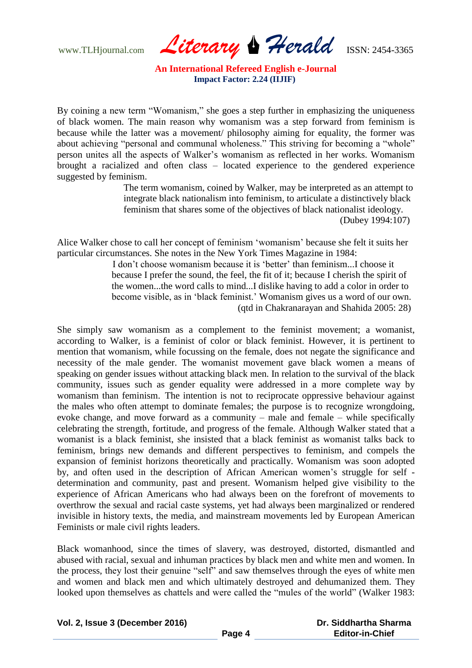www.TLHjournal.com *Literary Herald*ISSN: 2454-3365

By coining a new term "Womanism," she goes a step further in emphasizing the uniqueness of black women. The main reason why womanism was a step forward from feminism is because while the latter was a movement/ philosophy aiming for equality, the former was about achieving "personal and communal wholeness." This striving for becoming a "whole" person unites all the aspects of Walker"s womanism as reflected in her works. Womanism brought a racialized and often class – located experience to the gendered experience suggested by feminism.

> The term womanism, coined by Walker, may be interpreted as an attempt to integrate black nationalism into feminism, to articulate a distinctively black feminism that shares some of the objectives of black nationalist ideology. (Dubey 1994:107)

Alice Walker chose to call her concept of feminism "womanism" because she felt it suits her particular circumstances. She notes in the New York Times Magazine in 1984:

> I don't choose womanism because it is 'better' than feminism...I choose it because I prefer the sound, the feel, the fit of it; because I cherish the spirit of the women...the word calls to mind...I dislike having to add a color in order to become visible, as in "black feminist." Womanism gives us a word of our own. (qtd in Chakranarayan and Shahida 2005: 28)

She simply saw womanism as a complement to the feminist movement; a womanist, according to Walker, is a feminist of color or black feminist. However, it is pertinent to mention that womanism, while focussing on the female, does not negate the significance and necessity of the male gender. The womanist movement gave black women a means of speaking on gender issues without attacking black men. In relation to the survival of the black community, issues such as gender equality were addressed in a more complete way by womanism than feminism. The intention is not to reciprocate oppressive behaviour against the males who often attempt to dominate females; the purpose is to recognize wrongdoing, evoke change, and move forward as a community – male and female – while specifically celebrating the strength, fortitude, and progress of the female. Although Walker stated that a womanist is a black feminist, she insisted that a black feminist as womanist talks back to feminism, brings new demands and different perspectives to feminism, and compels the expansion of feminist horizons theoretically and practically. Womanism was soon adopted by, and often used in the description of African American women"s struggle for self determination and community, past and present. Womanism helped give visibility to the experience of African Americans who had always been on the forefront of movements to overthrow the sexual and racial caste systems, yet had always been marginalized or rendered invisible in history texts, the media, and mainstream movements led by European American Feminists or male civil rights leaders.

Black womanhood, since the times of slavery, was destroyed, distorted, dismantled and abused with racial, sexual and inhuman practices by black men and white men and women. In the process, they lost their genuine "self" and saw themselves through the eyes of white men and women and black men and which ultimately destroyed and dehumanized them. They looked upon themselves as chattels and were called the "mules of the world" (Walker 1983:

**Vol. 2, Issue 3 (December 2016)**